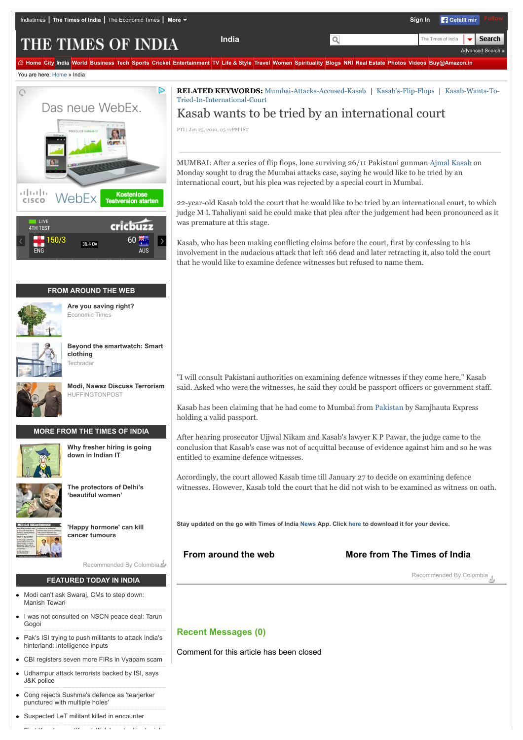[Advanced Search »](http://timesofindia.indiatimes.com/advancesearch.cms)

 $\overline{\phantom{0}}$ 

**Search** 

# THE TIMES OF INDIA

6 [Home](http://timesofindia.indiatimes.com/) [City](http://timesofindia.indiatimes.com/city/cityarticlelist/-2128932452.cms) [India](http://timesofindia.indiatimes.com/india/indiaarticlelist/-2128936835.cms) [World](http://timesofindia.indiatimes.com/world/worldarticlelist/296589292.cms) [Business](http://timesofindia.indiatimes.com/business/bizarticlelist/1898055.cms) [Tech](http://timesofindia.indiatimes.com/tech/techhome/5880659.cms) [Sports](http://timesofindia.indiatimes.com/sports) [Cricket](http://www.gocricket.com/) [Entertainment](http://timesofindia.indiatimes.com/entertainment/articlelistls/1081479906.cms) [TV](http://timesofindia.indiatimes.com/tv/hindi/tvhome/17781976.cms) [Life & Style](http://timesofindia.indiatimes.com/life-style/articlelistls/2886704.cms) [Travel](http://www.happytrips.com/) [Women](http://idiva.com/indextoi.html) [Spirituality](http://timesofindia.speakingtree.in/) [Blogs](http://blogs.timesofindia.indiatimes.com/?utm_source=NavL1&utm_medium=Old&utm_campaign=TOIHP) [NRI](http://timesofindia.indiatimes.com/nrihome.cms) [Real Estate](http://content.magicbricks.com/?fromSite=toi&utm_source=toi&utm_medium=referral&utm_campaign=toi-mb-navbar) [Photos](http://photogallery.indiatimes.com/) [Videos](http://timesofindia.indiatimes.com/videos) [Buy@Amazon.in](http://www.amazon.in/?tag=times1-21)

You are here: [Home](http://timesofindia.indiatimes.com/) » India



## **FROM AROUND THE WEB**



**[Are you saving right?](http://ade.clmbtech.com/cde/click.htm?u=http%3A%2F%2Feconomictimes.indiatimes.com%2Fetwealth_questionnaire.cms%3F1&r=NDhlMjVhMzEtNzAyMy00NjA0LWExMjMtOTJkOTJhNWFlZTFiOjEyOTE0NTphbGw6MTIwOTAwMTowOjE4MDkxMzo3MzI6aHR0cCUzQSUyRiUyRnRpbWVzb2ZpbmRpYS5pbmRpYXRpbWVzLmNvbSUyRmluZGlhJTJGS2FzYWItd2FudHMtdG8tYmUtdHJpZWQtYnktYW4taW50ZXJuYXRpb25hbC1jb3VydCUyRmFydGljbGVzaG93JTJGNTQ5OTEyNS5jbXM6NDExOjUuMDotMjEyODkzNjgzNTo1NDk5MTI1OjE6MjMwODowOjI2NTg6Mw&args=)** Economic Times



**[Beyond the smartwatch: Smart](http://ade.clmbtech.com/cde/click.htm?u=http%3A%2F%2Fwww.in.techradar.com%2Fnews%2Fworld-of-tech%2FBeyond-the-smartwatch-The-future-of-smart-clothing%2Farticleshow%2F48223253.cms%3Futm_source%3DColumbia%26utm_medium%3DCPC%26utm_campaign%3DCTN_TR_30JUl_7Aug&r=NDhlMjVhMzEtNzAyMy00NjA0LWExMjMtOTJkOTJhNWFlZTFiOjEyOTE0NTphbGw6MjAyNzIxMjowOjE4NDA3Nzo3MzI6aHR0cCUzQSUyRiUyRnRpbWVzb2ZpbmRpYS5pbmRpYXRpbWVzLmNvbSUyRmluZGlhJTJGS2FzYWItd2FudHMtdG8tYmUtdHJpZWQtYnktYW4taW50ZXJuYXRpb25hbC1jb3VydCUyRmFydGljbGVzaG93JTJGNTQ5OTEyNS5jbXM6NDExOjIuMDotMjEyODkzNjgzNTo1NDk5MTI1OjE6ODIyNzowOjI2NTg6Mw&args=) clothing** Techradar



**[Modi, Nawaz Discuss Terrorism](http://ade.clmbtech.com/cde/click.htm?u=http%3A%2F%2Fwww.huffingtonpost.in%2F2015%2F07%2F10%2Findia-pakistan-condemn-te_n_7767594.html%3Futm_hp_ref%3Din-politics%26utm_source%3DCOLUMBIA%26utm_medium%3Dtextlinks%26utm_campaign%3DCOLUMBIA&r=NDhlMjVhMzEtNzAyMy00NjA0LWExMjMtOTJkOTJhNWFlZTFiOjEyOTE0NTphbGw6MTIyNDY1MTowOjE3OTA4ODo3MzI6aHR0cCUzQSUyRiUyRnRpbWVzb2ZpbmRpYS5pbmRpYXRpbWVzLmNvbSUyRmluZGlhJTJGS2FzYWItd2FudHMtdG8tYmUtdHJpZWQtYnktYW4taW50ZXJuYXRpb25hbC1jb3VydCUyRmFydGljbGVzaG93JTJGNTQ5OTEyNS5jbXM6NDExOjIuMDotMjEyODkzNjgzNTo1NDk5MTI1OjE6OTY2OTowOjI2NTg6Mw&args=)** HUFFINGTONPOST

### **MORE FROM THE TIMES OF INDIA**



**down in Indian IT**

**[Why fresher hiring is going](http://ade.clmbtech.com/cde/click.htm?u=http%3A%2F%2Ftimesofindia.indiatimes.com%2Ftech%2Fjobs%2FWhy-fresher-hiring-is-going-down-in-Indian-IT%2Farticleshow%2F48357591.cms%3Futm_source%3DCOLUMBIA%26utm_medium%3DCOLUMBIA%26utm_campaign%3DCOLUMBIA&r=NDhlMjVhMzEtNzAyMy00NjA0LWExMjMtOTJkOTJhNWFlZTFiOjEyOTE0NTphbGw6MjA0NjM4NDowOjE0MzY2Nzo3MzI6aHR0cCUzQSUyRiUyRnRpbWVzb2ZpbmRpYS5pbmRpYXRpbWVzLmNvbSUyRmluZGlhJTJGS2FzYWItd2FudHMtdG8tYmUtdHJpZWQtYnktYW4taW50ZXJuYXRpb25hbC1jb3VydCUyRmFydGljbGVzaG93JTJGNTQ5OTEyNS5jbXM6NDExOjAuMDotMjEyODkzNjgzNTo1NDk5MTI1OjA6MjY1ODowOjI2NTg6Mw&args=)**



**[The protectors of Delhi's](http://ade.clmbtech.com/cde/click.htm?u=http%3A%2F%2Ftimesofindia.indiatimes.com%2Fcity%2Fdelhi%2FThe-protectors-of-Delhis-beautiful-women%2Farticleshow%2F48355509.cms%3Futm_source%3DCOLUMBIA%26utm_medium%3DCOLUMBIA%26utm_campaign%3DCOLUMBIA&r=NDhlMjVhMzEtNzAyMy00NjA0LWExMjMtOTJkOTJhNWFlZTFiOjEyOTE0NTphbGw6MjA0NjE0NzowOjE0MzY2Nzo3MzI6aHR0cCUzQSUyRiUyRnRpbWVzb2ZpbmRpYS5pbmRpYXRpbWVzLmNvbSUyRmluZGlhJTJGS2FzYWItd2FudHMtdG8tYmUtdHJpZWQtYnktYW4taW50ZXJuYXRpb25hbC1jb3VydCUyRmFydGljbGVzaG93JTJGNTQ5OTEyNS5jbXM6NDExOjAuMDotMjEyODkzNjgzNTo1NDk5MTI1OjA6MjY1ODowOjI2NTg6Mw&args=) 'beautiful women'**



**['Happy hormone' can kill](http://ade.clmbtech.com/cde/click.htm?u=http%3A%2F%2Ftimesofindia.indiatimes.com%2Fcity%2Fkolkata%2FHappy-hormone-can-kill-cancer-tumours-discover-Kol-born-scientists%2Farticleshow%2F48355694.cms%3Futm_source%3DCOLUMBIA%26utm_medium%3DCOLUMBIA%26utm_campaign%3DCOLUMBIA&r=NDhlMjVhMzEtNzAyMy00NjA0LWExMjMtOTJkOTJhNWFlZTFiOjEyOTE0NTphbGw6MjA0NjE1NjowOjE0MzY2Nzo3MzI6aHR0cCUzQSUyRiUyRnRpbWVzb2ZpbmRpYS5pbmRpYXRpbWVzLmNvbSUyRmluZGlhJTJGS2FzYWItd2FudHMtdG8tYmUtdHJpZWQtYnktYW4taW50ZXJuYXRpb25hbC1jb3VydCUyRmFydGljbGVzaG93JTJGNTQ5OTEyNS5jbXM6NDExOjAuMDotMjEyODkzNjgzNTo1NDk5MTI1OjA6MjY1ODowOjI2NTg6Mw&args=) cancer tumours**

Recommended By Colombia

## **FEATURED TODAY IN INDIA**

- [Modi can't ask Swaraj, CMs to step down:](http://timesofindia.indiatimes.com/india/Modi-cant-ask-Swaraj-CMs-to-step-down-Manish-Tewari/articleshow/48379691.cms) Manish Tewari
- [I was not consulted on NSCN peace deal: Tarun](http://timesofindia.indiatimes.com/india/I-was-not-consulted-on-NSCN-peace-deal-Tarun-Gogoi/articleshow/48379400.cms) Gogoi
- [Pak's ISI trying to push militants to attack India's](http://timesofindia.indiatimes.com/india/Paks-ISI-trying-to-push-militants-to-attack-Indias-hinterland-Intelligence-inputs/articleshow/48379002.cms) hinterland: Intelligence inputs
- [CBI registers seven more FIRs in Vyapam scam](http://timesofindia.indiatimes.com/india/CBI-registers-seven-more-FIRs-in-Vyapam-scam/articleshow/48379054.cms)
- [Udhampur attack terrorists backed by ISI, says](http://timesofindia.indiatimes.com/india/Udhampur-attack-terrorists-backed-by-ISI-says-JK-police/articleshow/48378657.cms) J&K police
- [Cong rejects Sushma's defence as 'tearjerker](http://timesofindia.indiatimes.com/india/Cong-rejects-Sushmas-defence-as-tearjerker-punctured-with-multiple-holes/articleshow/48378003.cms) punctured with multiple holes'

[First Kasab, now 'Kasab II': Islamabad in denial](http://timesofindia.indiatimes.com/india/First-Kasab-now-Kasab-II-Islamabad-in-denial-mode-again-disowns-terrorist/articleshow/48377768.cms)

[Suspected LeT militant killed in encounter](http://timesofindia.indiatimes.com/india/Suspected-LeT-militant-killed-in-encounter/articleshow/48377849.cms)

**RELATED KEYWORDS:** [Mumbai-Attacks-Accused-Kasab](http://timesofindia.indiatimes.com/topic/Mumbai-attacks-accused-Kasab) | [Kasab's-Flip-Flops](http://timesofindia.indiatimes.com/topic/Kasab) | Kasab-Wants-To-Tried-In-International-Court

**India** The Times of India

## Kasab wants to be tried by an international court

PTI | Jan 25, 2010, 05.12PM IST

MUMBAI: After a series of flip flops, lone surviving 26/11 Pakistani gunman [Ajmal Kasab](http://timesofindia.indiatimes.com/topic/Ajmal-Kasab) on Monday sought to drag the Mumbai attacks case, saying he would like to be tried by an international court, but his plea was rejected by a special court in Mumbai.

22-year-old Kasab told the court that he would like to be tried by an international court, to which judge M L Tahaliyani said he could make that plea after the judgement had been pronounced as it was premature at this stage.

Kasab, who has been making conflicting claims before the court, first by confessing to his involvement in the audacious attack that left 166 dead and later retracting it, also told the court that he would like to examine defence witnesses but refused to name them.

"I will consult Pakistani authorities on examining defence witnesses if they come here," Kasab said. Asked who were the witnesses, he said they could be passport officers or government staff.

Kasab has been claiming that he had come to Mumbai from [Pakistan](http://timesofindia.indiatimes.com/topic/Pakistan) by Samjhauta Express holding a valid passport.

After hearing prosecutor Ujjwal Nikam and Kasab's lawyer K P Pawar, the judge came to the conclusion that Kasab's case was not of acquittal because of evidence against him and so he was entitled to examine defence witnesses.

Accordingly, the court allowed Kasab time till January 27 to decide on examining defence witnesses. However, Kasab told the court that he did not wish to be examined as witness on oath.

**Stay updated on the go with Times of India [News](https://play.google.com/store/apps/details?id=com.toi.reader.activities) App. Click [here](http://timesofindia.indiatimes.com/mobileapplist/7404562.cms?utm_source=articleshow_bottom&utm_medium=showpage&utm_campaign=articleshow) to download it for your device.**

**From around the web More from The Times of India**

Recommended By Colombia

## **Recent Messages (0)**

Comment for this article has been closed